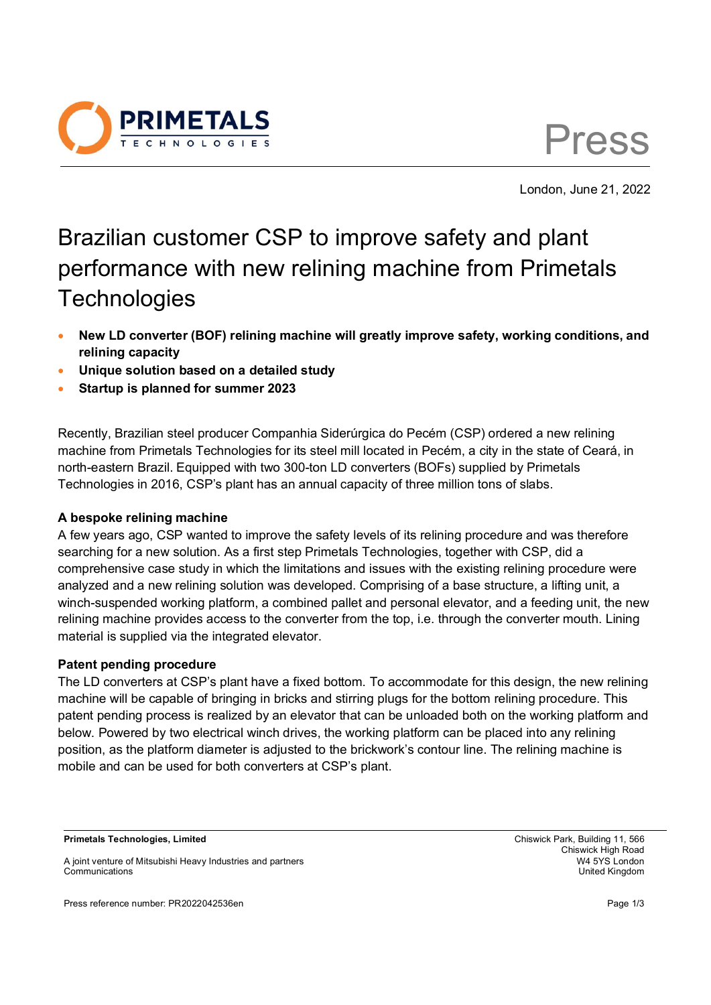



London, June 21, 2022

# Brazilian customer CSP to improve safety and plant performance with new relining machine from Primetals **Technologies**

- **New LD converter (BOF) relining machine will greatly improve safety, working conditions, and relining capacity**
- **Unique solution based on a detailed study**
- **Startup is planned for summer 2023**

Recently, Brazilian steel producer Companhia Siderúrgica do Pecém (CSP) ordered a new relining machine from Primetals Technologies for its steel mill located in Pecém, a city in the state of Ceará, in north-eastern Brazil. Equipped with two 300-ton LD converters (BOFs) supplied by Primetals Technologies in 2016, CSP's plant has an annual capacity of three million tons of slabs.

# **A bespoke relining machine**

A few years ago, CSP wanted to improve the safety levels of its relining procedure and was therefore searching for a new solution. As a first step Primetals Technologies, together with CSP, did a comprehensive case study in which the limitations and issues with the existing relining procedure were analyzed and a new relining solution was developed. Comprising of a base structure, a lifting unit, a winch-suspended working platform, a combined pallet and personal elevator, and a feeding unit, the new relining machine provides access to the converter from the top, i.e. through the converter mouth. Lining material is supplied via the integrated elevator.

## **Patent pending procedure**

The LD converters at CSP's plant have a fixed bottom. To accommodate for this design, the new relining machine will be capable of bringing in bricks and stirring plugs for the bottom relining procedure. This patent pending process is realized by an elevator that can be unloaded both on the working platform and below. Powered by two electrical winch drives, the working platform can be placed into any relining position, as the platform diameter is adjusted to the brickwork's contour line. The relining machine is mobile and can be used for both converters at CSP's plant.

**Primetals Technologies, Limited** Chiswick Park, Building 11, 566

Press reference number: PR2022042536en Page 1/3

Chiswick High Road

A joint venture of Mitsubishi Heavy Industries and partners W4 5YS London Communications United Kingdom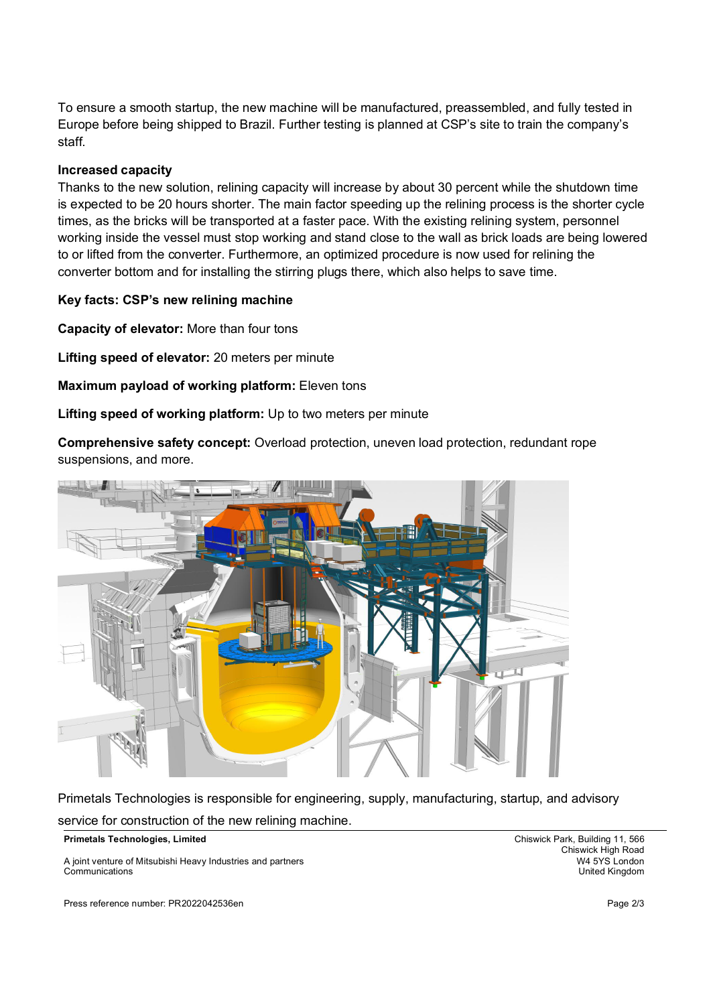To ensure a smooth startup, the new machine will be manufactured, preassembled, and fully tested in Europe before being shipped to Brazil. Further testing is planned at CSP's site to train the company's staff.

## **Increased capacity**

Thanks to the new solution, relining capacity will increase by about 30 percent while the shutdown time is expected to be 20 hours shorter. The main factor speeding up the relining process is the shorter cycle times, as the bricks will be transported at a faster pace. With the existing relining system, personnel working inside the vessel must stop working and stand close to the wall as brick loads are being lowered to or lifted from the converter. Furthermore, an optimized procedure is now used for relining the converter bottom and for installing the stirring plugs there, which also helps to save time.

#### **Key facts: CSP's new relining machine**

**Capacity of elevator:** More than four tons

**Lifting speed of elevator:** 20 meters per minute

**Maximum payload of working platform:** Eleven tons

**Lifting speed of working platform:** Up to two meters per minute

**Comprehensive safety concept:** Overload protection, uneven load protection, redundant rope suspensions, and more.



Primetals Technologies is responsible for engineering, supply, manufacturing, startup, and advisory service for construction of the new relining machine.

**Primetals Technologies, Limited** Chiswick Park, Building 11, 566

A joint venture of Mitsubishi Heavy Industries and partners Communications United Kingdom

Press reference number: PR2022042536en Page 2/3